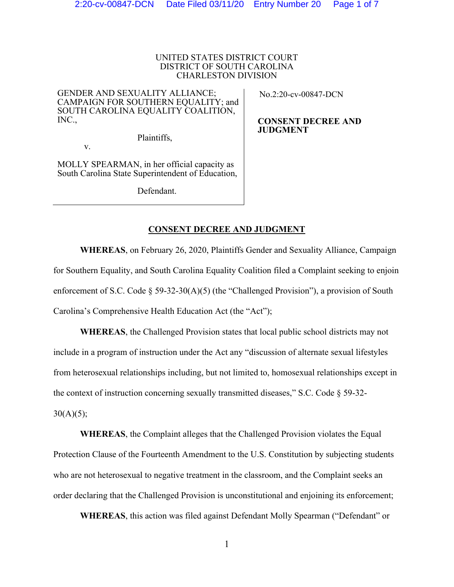### UNITED STATES DISTRICT COURT DISTRICT OF SOUTH CAROLINA CHARLESTON DIVISION

GENDER AND SEXUALITY ALLIANCE; CAMPAIGN FOR SOUTHERN EQUALITY; and SOUTH CAROLINA EQUALITY COALITION, INC.,

No.2:20-cv-00847-DCN

**CONSENT DECREE AND JUDGMENT** 

Plaintiffs,

MOLLY SPEARMAN, in her official capacity as South Carolina State Superintendent of Education,

v.

Defendant.

# **CONSENT DECREE AND JUDGMENT**

**WHEREAS**, on February 26, 2020, Plaintiffs Gender and Sexuality Alliance, Campaign for Southern Equality, and South Carolina Equality Coalition filed a Complaint seeking to enjoin enforcement of S.C. Code  $\S$  59-32-30(A)(5) (the "Challenged Provision"), a provision of South Carolina's Comprehensive Health Education Act (the "Act");

**WHEREAS**, the Challenged Provision states that local public school districts may not include in a program of instruction under the Act any "discussion of alternate sexual lifestyles from heterosexual relationships including, but not limited to, homosexual relationships except in the context of instruction concerning sexually transmitted diseases," S.C. Code § 59-32-  $30(A)(5);$ 

**WHEREAS**, the Complaint alleges that the Challenged Provision violates the Equal Protection Clause of the Fourteenth Amendment to the U.S. Constitution by subjecting students who are not heterosexual to negative treatment in the classroom, and the Complaint seeks an order declaring that the Challenged Provision is unconstitutional and enjoining its enforcement;

**WHEREAS**, this action was filed against Defendant Molly Spearman ("Defendant" or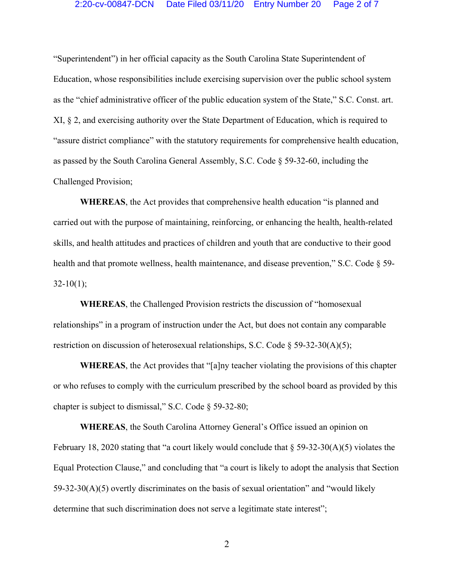### 2:20-cv-00847-DCN Date Filed 03/11/20 Entry Number 20 Page 2 of 7

"Superintendent") in her official capacity as the South Carolina State Superintendent of Education, whose responsibilities include exercising supervision over the public school system as the "chief administrative officer of the public education system of the State," S.C. Const. art. XI, § 2, and exercising authority over the State Department of Education, which is required to "assure district compliance" with the statutory requirements for comprehensive health education, as passed by the South Carolina General Assembly, S.C. Code § 59-32-60, including the Challenged Provision;

**WHEREAS**, the Act provides that comprehensive health education "is planned and carried out with the purpose of maintaining, reinforcing, or enhancing the health, health-related skills, and health attitudes and practices of children and youth that are conductive to their good health and that promote wellness, health maintenance, and disease prevention," S.C. Code  $\S$  59- $32-10(1);$ 

**WHEREAS**, the Challenged Provision restricts the discussion of "homosexual relationships" in a program of instruction under the Act, but does not contain any comparable restriction on discussion of heterosexual relationships, S.C. Code § 59-32-30(A)(5);

**WHEREAS**, the Act provides that "[a]ny teacher violating the provisions of this chapter or who refuses to comply with the curriculum prescribed by the school board as provided by this chapter is subject to dismissal," S.C. Code § 59-32-80;

**WHEREAS**, the South Carolina Attorney General's Office issued an opinion on February 18, 2020 stating that "a court likely would conclude that § 59-32-30(A)(5) violates the Equal Protection Clause," and concluding that "a court is likely to adopt the analysis that Section 59-32-30(A)(5) overtly discriminates on the basis of sexual orientation" and "would likely determine that such discrimination does not serve a legitimate state interest";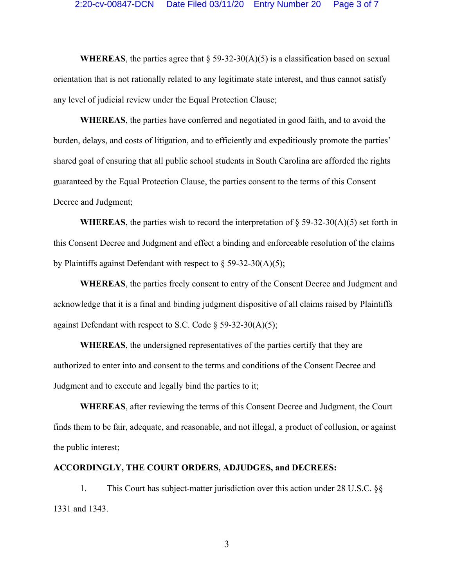**WHEREAS**, the parties agree that  $\S$  59-32-30(A)(5) is a classification based on sexual orientation that is not rationally related to any legitimate state interest, and thus cannot satisfy any level of judicial review under the Equal Protection Clause;

**WHEREAS**, the parties have conferred and negotiated in good faith, and to avoid the burden, delays, and costs of litigation, and to efficiently and expeditiously promote the parties' shared goal of ensuring that all public school students in South Carolina are afforded the rights guaranteed by the Equal Protection Clause, the parties consent to the terms of this Consent Decree and Judgment;

**WHEREAS**, the parties wish to record the interpretation of  $\S$  59-32-30(A)(5) set forth in this Consent Decree and Judgment and effect a binding and enforceable resolution of the claims by Plaintiffs against Defendant with respect to  $\S$  59-32-30(A)(5);

**WHEREAS**, the parties freely consent to entry of the Consent Decree and Judgment and acknowledge that it is a final and binding judgment dispositive of all claims raised by Plaintiffs against Defendant with respect to S.C. Code  $\S$  59-32-30(A)(5);

**WHEREAS**, the undersigned representatives of the parties certify that they are authorized to enter into and consent to the terms and conditions of the Consent Decree and Judgment and to execute and legally bind the parties to it;

**WHEREAS**, after reviewing the terms of this Consent Decree and Judgment, the Court finds them to be fair, adequate, and reasonable, and not illegal, a product of collusion, or against the public interest;

### **ACCORDINGLY, THE COURT ORDERS, ADJUDGES, and DECREES:**

1. This Court has subject-matter jurisdiction over this action under 28 U.S.C. §§ 1331 and 1343.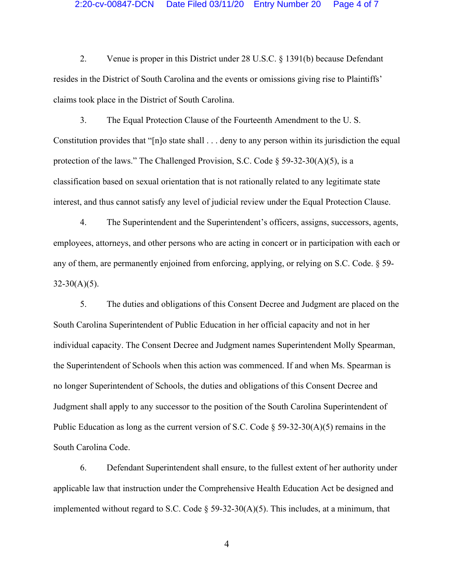# 2:20-cv-00847-DCN Date Filed 03/11/20 Entry Number 20 Page 4 of 7

2. Venue is proper in this District under 28 U.S.C. § 1391(b) because Defendant resides in the District of South Carolina and the events or omissions giving rise to Plaintiffs' claims took place in the District of South Carolina.

3. The Equal Protection Clause of the Fourteenth Amendment to the U. S. Constitution provides that "[n]o state shall . . . deny to any person within its jurisdiction the equal protection of the laws." The Challenged Provision, S.C. Code  $\S$  59-32-30(A)(5), is a classification based on sexual orientation that is not rationally related to any legitimate state interest, and thus cannot satisfy any level of judicial review under the Equal Protection Clause.

4. The Superintendent and the Superintendent's officers, assigns, successors, agents, employees, attorneys, and other persons who are acting in concert or in participation with each or any of them, are permanently enjoined from enforcing, applying, or relying on S.C. Code. § 59-  $32-30(A)(5)$ .

5. The duties and obligations of this Consent Decree and Judgment are placed on the South Carolina Superintendent of Public Education in her official capacity and not in her individual capacity. The Consent Decree and Judgment names Superintendent Molly Spearman, the Superintendent of Schools when this action was commenced. If and when Ms. Spearman is no longer Superintendent of Schools, the duties and obligations of this Consent Decree and Judgment shall apply to any successor to the position of the South Carolina Superintendent of Public Education as long as the current version of S.C. Code  $\S$  59-32-30(A)(5) remains in the South Carolina Code.

6. Defendant Superintendent shall ensure, to the fullest extent of her authority under applicable law that instruction under the Comprehensive Health Education Act be designed and implemented without regard to S.C. Code  $\S$  59-32-30(A)(5). This includes, at a minimum, that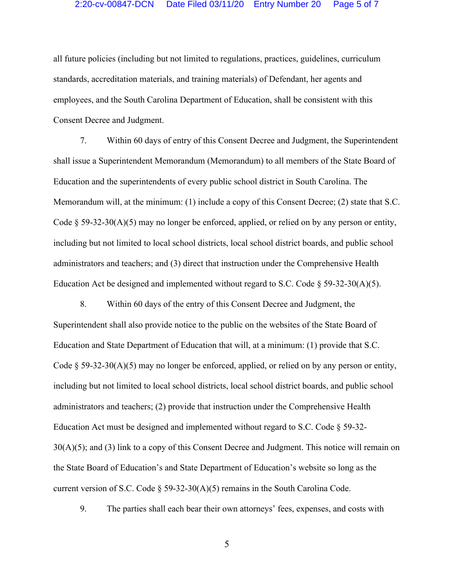#### 2:20-cv-00847-DCN Date Filed 03/11/20 Entry Number 20 Page 5 of 7

all future policies (including but not limited to regulations, practices, guidelines, curriculum standards, accreditation materials, and training materials) of Defendant, her agents and employees, and the South Carolina Department of Education, shall be consistent with this Consent Decree and Judgment.

7. Within 60 days of entry of this Consent Decree and Judgment, the Superintendent shall issue a Superintendent Memorandum (Memorandum) to all members of the State Board of Education and the superintendents of every public school district in South Carolina. The Memorandum will, at the minimum: (1) include a copy of this Consent Decree; (2) state that S.C. Code § 59-32-30(A)(5) may no longer be enforced, applied, or relied on by any person or entity, including but not limited to local school districts, local school district boards, and public school administrators and teachers; and (3) direct that instruction under the Comprehensive Health Education Act be designed and implemented without regard to S.C. Code  $\S$  59-32-30(A)(5).

8. Within 60 days of the entry of this Consent Decree and Judgment, the Superintendent shall also provide notice to the public on the websites of the State Board of Education and State Department of Education that will, at a minimum: (1) provide that S.C. Code  $\S 59-32-30(A)(5)$  may no longer be enforced, applied, or relied on by any person or entity, including but not limited to local school districts, local school district boards, and public school administrators and teachers; (2) provide that instruction under the Comprehensive Health Education Act must be designed and implemented without regard to S.C. Code § 59-32- 30(A)(5); and (3) link to a copy of this Consent Decree and Judgment. This notice will remain on the State Board of Education's and State Department of Education's website so long as the current version of S.C. Code  $\S$  59-32-30(A)(5) remains in the South Carolina Code.

9. The parties shall each bear their own attorneys' fees, expenses, and costs with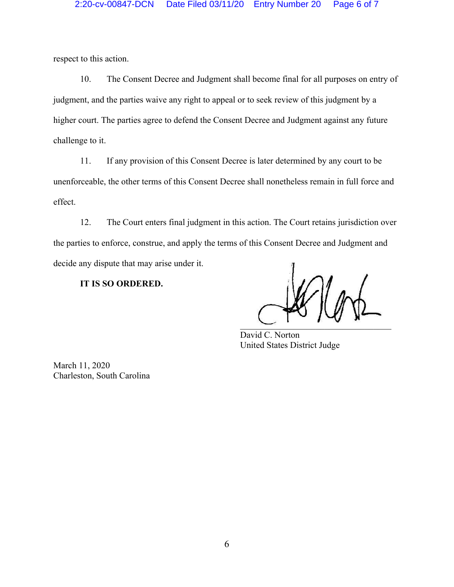respect to this action.

10. The Consent Decree and Judgment shall become final for all purposes on entry of judgment, and the parties waive any right to appeal or to seek review of this judgment by a higher court. The parties agree to defend the Consent Decree and Judgment against any future challenge to it.

11. If any provision of this Consent Decree is later determined by any court to be unenforceable, the other terms of this Consent Decree shall nonetheless remain in full force and effect.

12. The Court enters final judgment in this action. The Court retains jurisdiction over the parties to enforce, construe, and apply the terms of this Consent Decree and Judgment and decide any dispute that may arise under it.

**IT IS SO ORDERED.** 

 $\sim$   $\sim$   $\sim$   $\sim$   $\sim$ 

 David C. Norton United States District Judge

March 11, 2020 Charleston, South Carolina